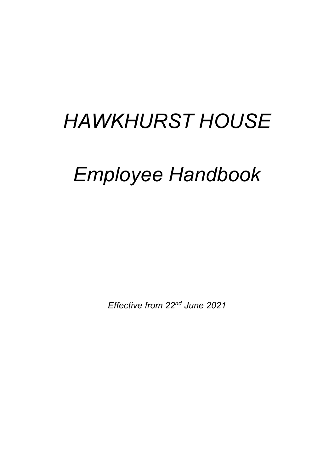# *HAWKHURST HOUSE*

# *Employee Handbook*

*Effective from 22nd June 2021*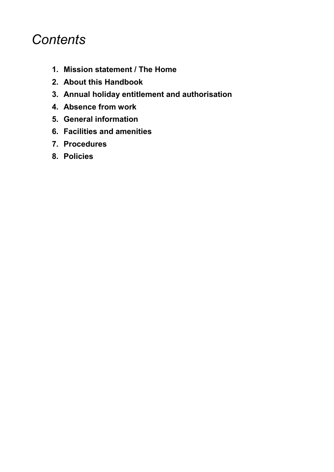# *Contents*

- **1. Mission statement / The Home**
- **2. About this Handbook**
- **3. Annual holiday entitlement and authorisation**
- **4. Absence from work**
- **5. General information**
- **6. Facilities and amenities**
- **7. Procedures**
- **8. Policies**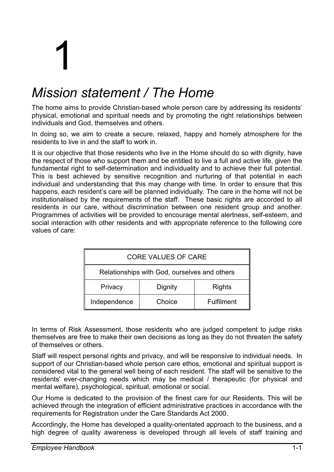# 1

# *Mission statement / The Home*

The home aims to provide Christian-based whole person care by addressing its residents' physical, emotional and spiritual needs and by promoting the right relationships between individuals and God, themselves and others.

In doing so, we aim to create a secure, relaxed, happy and homely atmosphere for the residents to live in and the staff to work in.

It is our objective that those residents who live in the Home should do so with dignity, have the respect of those who support them and be entitled to live a full and active life, given the fundamental right to self-determination and individuality and to achieve their full potential. This is best achieved by sensitive recognition and nurturing of that potential in each individual and understanding that this may change with time. In order to ensure that this happens, each resident's care will be planned individually. The care in the home will not be institutionalised by the requirements of the staff. These basic rights are accorded to all residents in our care, without discrimination between one resident group and another. Programmes of activities will be provided to encourage mental alertness, self-esteem, and social interaction with other residents and with appropriate reference to the following core values of care:

| <b>CORE VALUES OF CARE</b>                   |         |                   |
|----------------------------------------------|---------|-------------------|
| Relationships with God, ourselves and others |         |                   |
| Privacy                                      | Dignity | <b>Rights</b>     |
| Independence                                 | Choice  | <b>Fulfilment</b> |

In terms of Risk Assessment, those residents who are judged competent to judge risks themselves are free to make their own decisions as long as they do not threaten the safety of themselves or others.

Staff will respect personal rights and privacy, and will be responsive to individual needs. In support of our Christian-based whole person care ethos, emotional and spiritual support is considered vital to the general well being of each resident. The staff will be sensitive to the residents' ever-changing needs which may be medical / therapeutic (for physical and mental welfare), psychological, spiritual, emotional or social.

Our Home is dedicated to the provision of the finest care for our Residents. This will be achieved through the integration of efficient administrative practices in accordance with the requirements for Registration under the Care Standards Act 2000.

Accordingly, the Home has developed a quality-orientated approach to the business, and a high degree of quality awareness is developed through all levels of staff training and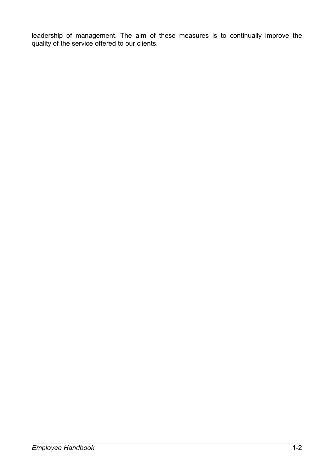leadership of management. The aim of these measures is to continually improve the quality of the service offered to our clients.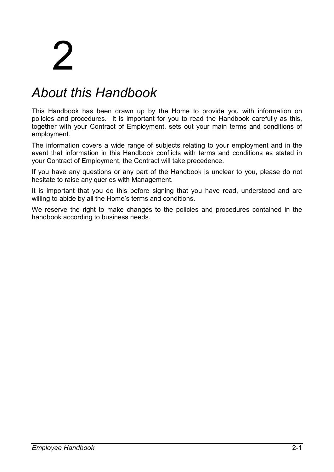# 2

# *About this Handbook*

This Handbook has been drawn up by the Home to provide you with information on policies and procedures. It is important for you to read the Handbook carefully as this, together with your Contract of Employment, sets out your main terms and conditions of employment.

The information covers a wide range of subjects relating to your employment and in the event that information in this Handbook conflicts with terms and conditions as stated in your Contract of Employment, the Contract will take precedence.

If you have any questions or any part of the Handbook is unclear to you, please do not hesitate to raise any queries with Management.

It is important that you do this before signing that you have read, understood and are willing to abide by all the Home's terms and conditions.

We reserve the right to make changes to the policies and procedures contained in the handbook according to business needs.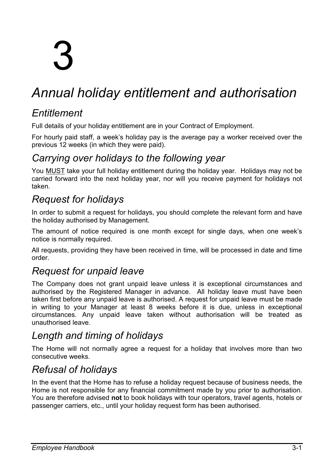# 3

# *Annual holiday entitlement and authorisation*

# *Entitlement*

Full details of your holiday entitlement are in your Contract of Employment.

For hourly paid staff, a week's holiday pay is the average pay a worker received over the previous 12 weeks (in which they were paid).

# *Carrying over holidays to the following year*

You MUST take your full holiday entitlement during the holiday year. Holidays may not be carried forward into the next holiday year, nor will you receive payment for holidays not taken.

# *Request for holidays*

In order to submit a request for holidays, you should complete the relevant form and have the holiday authorised by Management.

The amount of notice required is one month except for single days, when one week's notice is normally required.

All requests, providing they have been received in time, will be processed in date and time order.

# *Request for unpaid leave*

The Company does not grant unpaid leave unless it is exceptional circumstances and authorised by the Registered Manager in advance. All holiday leave must have been taken first before any unpaid leave is authorised. A request for unpaid leave must be made in writing to your Manager at least 8 weeks before it is due, unless in exceptional circumstances. Any unpaid leave taken without authorisation will be treated as unauthorised leave.

# *Length and timing of holidays*

The Home will not normally agree a request for a holiday that involves more than two consecutive weeks.

# *Refusal of holidays*

In the event that the Home has to refuse a holiday request because of business needs, the Home is not responsible for any financial commitment made by you prior to authorisation. You are therefore advised **not** to book holidays with tour operators, travel agents, hotels or passenger carriers, etc., until your holiday request form has been authorised.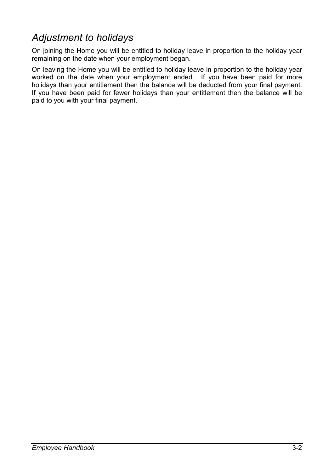# *Adjustment to holidays*

On joining the Home you will be entitled to holiday leave in proportion to the holiday year remaining on the date when your employment began.

On leaving the Home you will be entitled to holiday leave in proportion to the holiday year worked on the date when your employment ended. If you have been paid for more holidays than your entitlement then the balance will be deducted from your final payment. If you have been paid for fewer holidays than your entitlement then the balance will be paid to you with your final payment.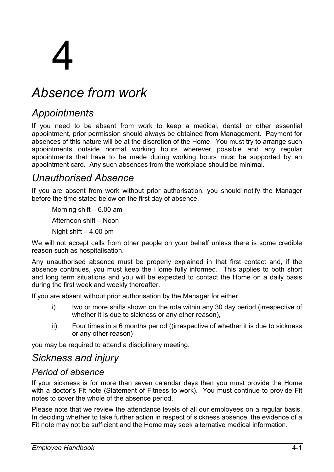# 4

# *Absence from work*

# *Appointments*

If you need to be absent from work to keep a medical, dental or other essential appointment, prior permission should always be obtained from Management. Payment for absences of this nature will be at the discretion of the Home. You must try to arrange such appointments outside normal working hours wherever possible and any regular appointments that have to be made during working hours must be supported by an appointment card. Any such absences from the workplace should be minimal.

# *Unauthorised Absence*

If you are absent from work without prior authorisation, you should notify the Manager before the time stated below on the first day of absence.

Morning shift  $-6.00$  am

Afternoon shift – Noon

Night shift  $-4.00$  pm

We will not accept calls from other people on your behalf unless there is some credible reason such as hospitalisation.

Any unauthorised absence must be properly explained in that first contact and, if the absence continues, you must keep the Home fully informed. This applies to both short and long term situations and you will be expected to contact the Home on a daily basis during the first week and weekly thereafter.

If you are absent without prior authorisation by the Manager for either

- i) two or more shifts shown on the rota within any 30 day period (irrespective of whether it is due to sickness or any other reason),
- ii) Four times in a 6 months period ((irrespective of whether it is due to sickness or any other reason)

you may be required to attend a disciplinary meeting.

# *Sickness and injury*

### *Period of absence*

If your sickness is for more than seven calendar days then you must provide the Home with a doctor's Fit note (Statement of Fitness to work). You must continue to provide Fit notes to cover the whole of the absence period.

Please note that we review the attendance levels of all our employees on a regular basis. In deciding whether to take further action in respect of sickness absence, the evidence of a Fit note may not be sufficient and the Home may seek alternative medical information.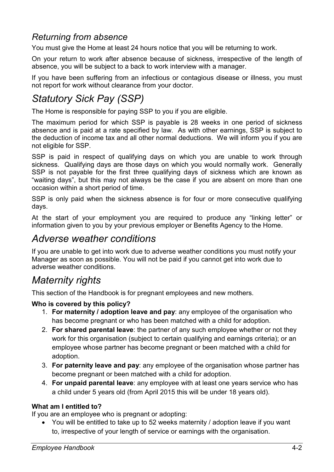## *Returning from absence*

You must give the Home at least 24 hours notice that you will be returning to work.

On your return to work after absence because of sickness, irrespective of the length of absence, you will be subject to a back to work interview with a manager.

If you have been suffering from an infectious or contagious disease or illness, you must not report for work without clearance from your doctor.

# *Statutory Sick Pay (SSP)*

The Home is responsible for paying SSP to you if you are eligible.

The maximum period for which SSP is payable is 28 weeks in one period of sickness absence and is paid at a rate specified by law. As with other earnings, SSP is subject to the deduction of income tax and all other normal deductions. We will inform you if you are not eligible for SSP.

SSP is paid in respect of qualifying days on which you are unable to work through sickness. Qualifying days are those days on which you would normally work. Generally SSP is not payable for the first three qualifying days of sickness which are known as "waiting days", but this may not always be the case if you are absent on more than one occasion within a short period of time.

SSP is only paid when the sickness absence is for four or more consecutive qualifying days.

At the start of your employment you are required to produce any "linking letter" or information given to you by your previous employer or Benefits Agency to the Home.

# *Adverse weather conditions*

If you are unable to get into work due to adverse weather conditions you must notify your Manager as soon as possible. You will not be paid if you cannot get into work due to adverse weather conditions.

# *Maternity rights*

This section of the Handbook is for pregnant employees and new mothers.

#### **Who is covered by this policy?**

- 1. **For maternity / adoption leave and pay**: any employee of the organisation who has become pregnant or who has been matched with a child for adoption.
- 2. **For shared parental leave**: the partner of any such employee whether or not they work for this organisation (subject to certain qualifying and earnings criteria); or an employee whose partner has become pregnant or been matched with a child for adoption.
- 3. **For paternity leave and pay**: any employee of the organisation whose partner has become pregnant or been matched with a child for adoption.
- 4. **For unpaid parental leave**: any employee with at least one years service who has a child under 5 years old (from April 2015 this will be under 18 years old).

#### **What am I entitled to?**

If you are an employee who is pregnant or adopting:

• You will be entitled to take up to 52 weeks maternity / adoption leave if you want to, irrespective of your length of service or earnings with the organisation.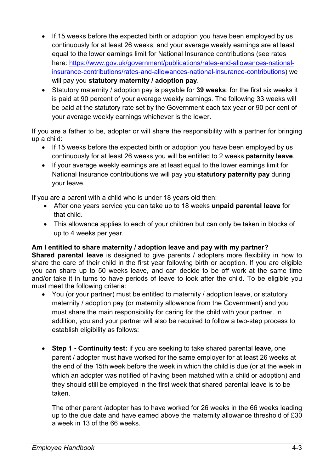- If 15 weeks before the expected birth or adoption you have been employed by us continuously for at least 26 weeks, and your average weekly earnings are at least equal to the lower earnings limit for National Insurance contributions (see rates here: https://www.gov.uk/government/publications/rates-and-allowances-nationalinsurance-contributions/rates-and-allowances-national-insurance-contributions) we will pay you **statutory maternity / adoption pay**.
- Statutory maternity / adoption pay is payable for **39 weeks**; for the first six weeks it is paid at 90 percent of your average weekly earnings. The following 33 weeks will be paid at the statutory rate set by the Government each tax year or 90 per cent of your average weekly earnings whichever is the lower.

If you are a father to be, adopter or will share the responsibility with a partner for bringing up a child:

- If 15 weeks before the expected birth or adoption you have been employed by us continuously for at least 26 weeks you will be entitled to 2 weeks **paternity leave**.
- If your average weekly earnings are at least equal to the lower earnings limit for National Insurance contributions we will pay you **statutory paternity pay** during your leave.

If you are a parent with a child who is under 18 years old then:

- After one years service you can take up to 18 weeks **unpaid parental leave** for that child.
- This allowance applies to each of your children but can only be taken in blocks of up to 4 weeks per year.

#### **Am I entitled to share maternity / adoption leave and pay with my partner?**

**Shared parental leave** is designed to give parents / adopters more flexibility in how to share the care of their child in the first year following birth or adoption. If you are eligible you can share up to 50 weeks leave, and can decide to be off work at the same time and/or take it in turns to have periods of leave to look after the child. To be eligible you must meet the following criteria:

- You (or your partner) must be entitled to maternity / adoption leave, or statutory maternity / adoption pay (or maternity allowance from the Government) and you must share the main responsibility for caring for the child with your partner. In addition, you and your partner will also be required to follow a two-step process to establish eligibility as follows:
- **Step 1 Continuity test:** if you are seeking to take shared parental **leave,** one parent / adopter must have worked for the same employer for at least 26 weeks at the end of the 15th week before the week in which the child is due (or at the week in which an adopter was notified of having been matched with a child or adoption) and they should still be employed in the first week that shared parental leave is to be taken.

The other parent /adopter has to have worked for 26 weeks in the 66 weeks leading up to the due date and have earned above the maternity allowance threshold of £30 a week in 13 of the 66 weeks.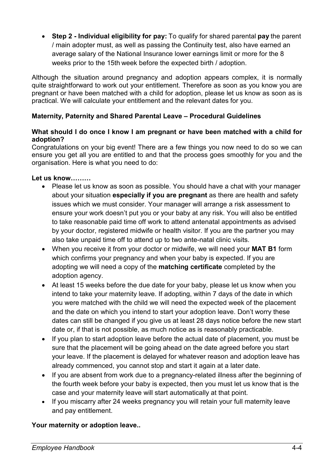• **Step 2 - Individual eligibility for pay:** To qualify for shared parental **pay** the parent / main adopter must, as well as passing the Continuity test, also have earned an average salary of the National Insurance lower earnings limit or more for the 8 weeks prior to the 15th week before the expected birth / adoption.

Although the situation around pregnancy and adoption appears complex, it is normally quite straightforward to work out your entitlement. Therefore as soon as you know you are pregnant or have been matched with a child for adoption, please let us know as soon as is practical. We will calculate your entitlement and the relevant dates for you.

#### **Maternity, Paternity and Shared Parental Leave – Procedural Guidelines**

#### **What should I do once I know I am pregnant or have been matched with a child for adoption?**

Congratulations on your big event! There are a few things you now need to do so we can ensure you get all you are entitled to and that the process goes smoothly for you and the organisation. Here is what you need to do:

#### **Let us know**

- Please let us know as soon as possible. You should have a chat with your manager about your situation **especially if you are pregnant** as there are health and safety issues which we must consider. Your manager will arrange a risk assessment to ensure your work doesn't put you or your baby at any risk. You will also be entitled to take reasonable paid time off work to attend antenatal appointments as advised by your doctor, registered midwife or health visitor. If you are the partner you may also take unpaid time off to attend up to two ante-natal clinic visits.
- When you receive it from your doctor or midwife, we will need your **MAT B1** form which confirms your pregnancy and when your baby is expected. If you are adopting we will need a copy of the **matching certificate** completed by the adoption agency.
- At least 15 weeks before the due date for your baby, please let us know when you intend to take your maternity leave. If adopting, within 7 days of the date in which you were matched with the child we will need the expected week of the placement and the date on which you intend to start your adoption leave. Don't worry these dates can still be changed if you give us at least 28 days notice before the new start date or, if that is not possible, as much notice as is reasonably practicable.
- If you plan to start adoption leave before the actual date of placement, you must be sure that the placement will be going ahead on the date agreed before you start your leave. If the placement is delayed for whatever reason and adoption leave has already commenced, you cannot stop and start it again at a later date.
- If you are absent from work due to a pregnancy-related illness after the beginning of the fourth week before your baby is expected, then you must let us know that is the case and your maternity leave will start automatically at that point.
- If you miscarry after 24 weeks pregnancy you will retain your full maternity leave and pay entitlement.

#### **Your maternity or adoption leave..**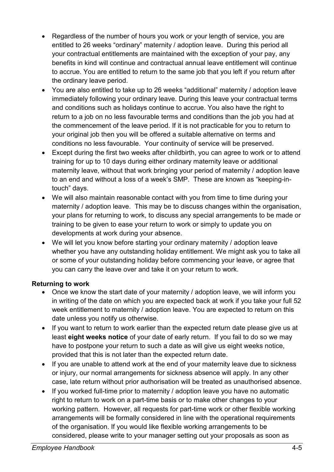- Regardless of the number of hours you work or your length of service, you are entitled to 26 weeks "ordinary" maternity / adoption leave. During this period all your contractual entitlements are maintained with the exception of your pay, any benefits in kind will continue and contractual annual leave entitlement will continue to accrue. You are entitled to return to the same job that you left if you return after the ordinary leave period.
- You are also entitled to take up to 26 weeks "additional" maternity / adoption leave immediately following your ordinary leave. During this leave your contractual terms and conditions such as holidays continue to accrue. You also have the right to return to a job on no less favourable terms and conditions than the job you had at the commencement of the leave period. If it is not practicable for you to return to your original job then you will be offered a suitable alternative on terms and conditions no less favourable. Your continuity of service will be preserved.
- Except during the first two weeks after childbirth, you can agree to work or to attend training for up to 10 days during either ordinary maternity leave or additional maternity leave, without that work bringing your period of maternity / adoption leave to an end and without a loss of a week's SMP. These are known as "keeping-intouch" days.
- We will also maintain reasonable contact with you from time to time during your maternity / adoption leave. This may be to discuss changes within the organisation, your plans for returning to work, to discuss any special arrangements to be made or training to be given to ease your return to work or simply to update you on developments at work during your absence.
- We will let you know before starting your ordinary maternity / adoption leave whether you have any outstanding holiday entitlement. We might ask you to take all or some of your outstanding holiday before commencing your leave, or agree that you can carry the leave over and take it on your return to work.

#### **Returning to work**

- Once we know the start date of your maternity / adoption leave, we will inform you in writing of the date on which you are expected back at work if you take your full 52 week entitlement to maternity / adoption leave. You are expected to return on this date unless you notify us otherwise.
- If you want to return to work earlier than the expected return date please give us at least **eight weeks notice** of your date of early return. If you fail to do so we may have to postpone your return to such a date as will give us eight weeks notice, provided that this is not later than the expected return date.
- If you are unable to attend work at the end of your maternity leave due to sickness or injury, our normal arrangements for sickness absence will apply. In any other case, late return without prior authorisation will be treated as unauthorised absence.
- If you worked full-time prior to maternity / adoption leave you have no automatic right to return to work on a part-time basis or to make other changes to your working pattern. However, all requests for part-time work or other flexible working arrangements will be formally considered in line with the operational requirements of the organisation. If you would like flexible working arrangements to be considered, please write to your manager setting out your proposals as soon as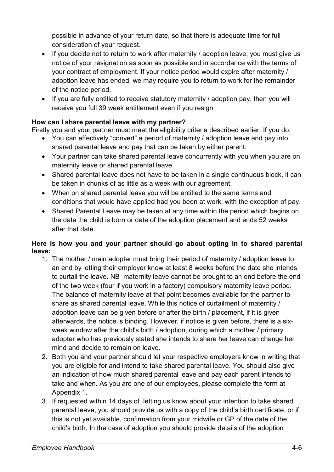possible in advance of your return date, so that there is adequate time for full consideration of your request.

- If you decide not to return to work after maternity / adoption leave, you must give us notice of your resignation as soon as possible and in accordance with the terms of your contract of employment. If your notice period would expire after maternity / adoption leave has ended, we may require you to return to work for the remainder of the notice period.
- If you are fully entitled to receive statutory maternity / adoption pay, then you will receive you full 39 week entitlement even if you resign.

#### **How can I share parental leave with my partner?**

Firstly you and your partner must meet the eligibility criteria described earlier. If you do:

- You can effectively "convert" a period of maternity / adoption leave and pay into shared parental leave and pay that can be taken by either parent.
- Your partner can take shared parental leave concurrently with you when you are on maternity leave or shared parental leave.
- Shared parental leave does not have to be taken in a single continuous block, it can be taken in chunks of as little as a week with our agreement.
- When on shared parental leave you will be entitled to the same terms and conditions that would have applied had you been at work, with the exception of pay.
- Shared Parental Leave may be taken at any time within the period which begins on the date the child is born or date of the adoption placement and ends 52 weeks after that date.

#### **Here is how you and your partner should go about opting in to shared parental leave:**

- 1. The mother / main adopter must bring their period of maternity / adoption leave to an end by letting their employer know at least 8 weeks before the date she intends to curtail the leave. NB maternity leave cannot be brought to an end before the end of the two week (four if you work in a factory) compulsory maternity leave period. The balance of maternity leave at that point becomes available for the partner to share as shared parental leave. While this notice of curtailment of maternity / adoption leave can be given before or after the birth / placement, if it is given afterwards, the notice is binding. However, if notice is given before, there is a sixweek window after the child's birth / adoption, during which a mother / primary adopter who has previously stated she intends to share her leave can change her mind and decide to remain on leave.
- 2. Both you and your partner should let your respective employers know in writing that you are eligible for and intend to take shared parental leave. You should also give an indication of how much shared parental leave and pay each parent intends to take and when. As you are one of our employees, please complete the form at Appendix 1.
- 3. If requested within 14 days of letting us know about your intention to take shared parental leave, you should provide us with a copy of the child's birth certificate, or if this is not yet available, confirmation from your midwife or GP of the date of the child's birth. In the case of adoption you should provide details of the adoption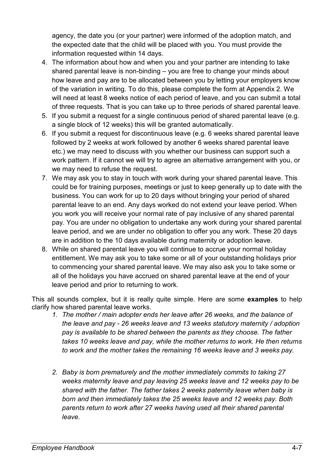agency, the date you (or your partner) were informed of the adoption match, and the expected date that the child will be placed with you. You must provide the information requested within 14 days.

- 4. The information about how and when you and your partner are intending to take shared parental leave is non-binding – you are free to change your minds about how leave and pay are to be allocated between you by letting your employers know of the variation in writing. To do this, please complete the form at Appendix 2. We will need at least 8 weeks notice of each period of leave, and you can submit a total of three requests. That is you can take up to three periods of shared parental leave.
- 5. If you submit a request for a single continuous period of shared parental leave (e.g. a single block of 12 weeks) this will be granted automatically.
- 6. If you submit a request for discontinuous leave (e.g. 6 weeks shared parental leave followed by 2 weeks at work followed by another 6 weeks shared parental leave etc.) we may need to discuss with you whether our business can support such a work pattern. If it cannot we will try to agree an alternative arrangement with you, or we may need to refuse the request.
- 7. We may ask you to stay in touch with work during your shared parental leave. This could be for training purposes, meetings or just to keep generally up to date with the business. You can work for up to 20 days without bringing your period of shared parental leave to an end. Any days worked do not extend your leave period. When you work you will receive your normal rate of pay inclusive of any shared parental pay. You are under no obligation to undertake any work during your shared parental leave period, and we are under no obligation to offer you any work. These 20 days are in addition to the 10 days available during maternity or adoption leave.
- 8. While on shared parental leave you will continue to accrue your normal holiday entitlement. We may ask you to take some or all of your outstanding holidays prior to commencing your shared parental leave. We may also ask you to take some or all of the holidays you have accrued on shared parental leave at the end of your leave period and prior to returning to work.

This all sounds complex, but it is really quite simple. Here are some **examples** to help clarify how shared parental leave works.

- *1. The mother / main adopter ends her leave after 26 weeks, and the balance of the leave and pay - 26 weeks leave and 13 weeks statutory maternity / adoption pay is available to be shared between the parents as they choose. The father takes 10 weeks leave and pay, while the mother returns to work. He then returns to work and the mother takes the remaining 16 weeks leave and 3 weeks pay.*
- *2. Baby is born prematurely and the mother immediately commits to taking 27 weeks maternity leave and pay leaving 25 weeks leave and 12 weeks pay to be shared with the father. The father takes 2 weeks paternity leave when baby is born and then immediately takes the 25 weeks leave and 12 weeks pay. Both parents return to work after 27 weeks having used all their shared parental leave.*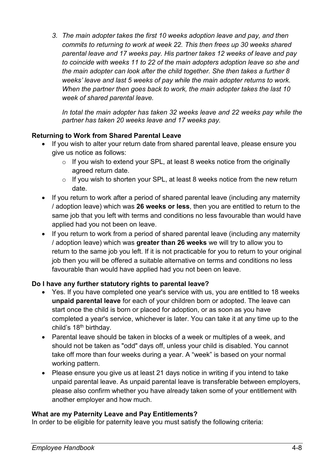*3. The main adopter takes the first 10 weeks adoption leave and pay, and then commits to returning to work at week 22. This then frees up 30 weeks shared parental leave and 17 weeks pay. His partner takes 12 weeks of leave and pay to coincide with weeks 11 to 22 of the main adopters adoption leave so she and the main adopter can look after the child together. She then takes a further 8 weeks' leave and last 5 weeks of pay while the main adopter returns to work. When the partner then goes back to work, the main adopter takes the last 10 week of shared parental leave.* 

*In total the main adopter has taken 32 weeks leave and 22 weeks pay while the partner has taken 20 weeks leave and 17 weeks pay.* 

#### **Returning to Work from Shared Parental Leave**

- If you wish to alter your return date from shared parental leave, please ensure you give us notice as follows:
	- $\circ$  If you wish to extend your SPL, at least 8 weeks notice from the originally agreed return date.
	- $\circ$  If you wish to shorten your SPL, at least 8 weeks notice from the new return date.
- If you return to work after a period of shared parental leave (including any maternity / adoption leave) which was **26 weeks or less**, then you are entitled to return to the same job that you left with terms and conditions no less favourable than would have applied had you not been on leave.
- If you return to work from a period of shared parental leave (including any maternity / adoption leave) which was **greater than 26 weeks** we will try to allow you to return to the same job you left. If it is not practicable for you to return to your original job then you will be offered a suitable alternative on terms and conditions no less favourable than would have applied had you not been on leave.

#### **Do I have any further statutory rights to parental leave?**

- Yes. If you have completed one year's service with us, you are entitled to 18 weeks **unpaid parental leave** for each of your children born or adopted. The leave can start once the child is born or placed for adoption, or as soon as you have completed a year's service, whichever is later. You can take it at any time up to the child's 18th birthday.
- Parental leave should be taken in blocks of a week or multiples of a week, and should not be taken as "odd" days off, unless your child is disabled. You cannot take off more than four weeks during a year. A "week" is based on your normal working pattern.
- Please ensure you give us at least 21 days notice in writing if you intend to take unpaid parental leave. As unpaid parental leave is transferable between employers, please also confirm whether you have already taken some of your entitlement with another employer and how much.

#### **What are my Paternity Leave and Pay Entitlements?**

In order to be eligible for paternity leave you must satisfy the following criteria: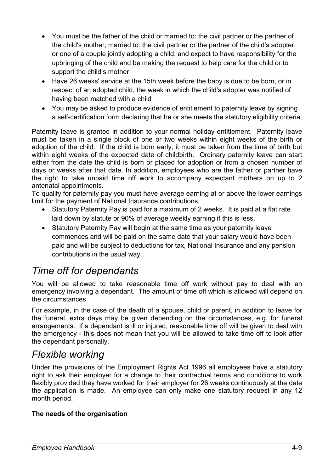- You must be the father of the child or married to: the civil partner or the partner of the child's mother; married to: the civil partner or the partner of the child's adopter, or one of a couple jointly adopting a child; and expect to have responsibility for the upbringing of the child and be making the request to help care for the child or to support the child's mother
- Have 26 weeks' service at the 15th week before the baby is due to be born, or in respect of an adopted child, the week in which the child's adopter was notified of having been matched with a child
- You may be asked to produce evidence of entitlement to paternity leave by signing a self-certification form declaring that he or she meets the statutory eligibility criteria

Paternity leave is granted in addition to your normal holiday entitlement. Paternity leave must be taken in a single block of one or two weeks within eight weeks of the birth or adoption of the child. If the child is born early, it must be taken from the time of birth but within eight weeks of the expected date of childbirth. Ordinary paternity leave can start either from the date the child is born or placed for adoption or from a chosen number of days or weeks after that date. In addition, employees who are the father or partner have the right to take unpaid time off work to accompany expectant mothers on up to 2 antenatal appointments.

To qualify for paternity pay you must have average earning at or above the lower earnings limit for the payment of National Insurance contributions.

- Statutory Paternity Pay is paid for a maximum of 2 weeks. It is paid at a flat rate laid down by statute or 90% of average weekly earning if this is less.
- Statutory Paternity Pay will begin at the same time as your paternity leave commences and will be paid on the same date that your salary would have been paid and will be subject to deductions for tax, National Insurance and any pension contributions in the usual way.

# *Time off for dependants*

You will be allowed to take reasonable time off work without pay to deal with an emergency involving a dependant. The amount of time off which is allowed will depend on the circumstances.

For example, in the case of the death of a spouse, child or parent, in addition to leave for the funeral, extra days may be given depending on the circumstances, e.g. for funeral arrangements. If a dependant is ill or injured, reasonable time off will be given to deal with the emergency - this does not mean that you will be allowed to take time off to look after the dependant personally.

# *Flexible working*

Under the provisions of the Employment Rights Act 1996 all employees have a statutory right to ask their employer for a change to their contractual terms and conditions to work flexibly provided they have worked for their employer for 26 weeks continuously at the date the application is made. An employee can only make one statutory request in any 12 month period.

#### **The needs of the organisation**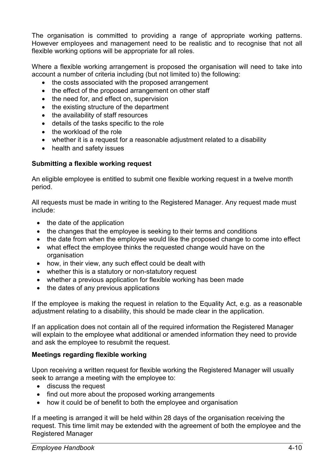The organisation is committed to providing a range of appropriate working patterns. However employees and management need to be realistic and to recognise that not all flexible working options will be appropriate for all roles.

Where a flexible working arrangement is proposed the organisation will need to take into account a number of criteria including (but not limited to) the following:

- the costs associated with the proposed arrangement
- the effect of the proposed arrangement on other staff
- the need for, and effect on, supervision
- the existing structure of the department
- the availability of staff resources
- details of the tasks specific to the role
- the workload of the role
- whether it is a request for a reasonable adiustment related to a disability
- health and safety issues

#### **Submitting a flexible working request**

An eligible employee is entitled to submit one flexible working request in a twelve month period.

All requests must be made in writing to the Registered Manager. Any request made must include:

- the date of the application
- the changes that the employee is seeking to their terms and conditions
- the date from when the employee would like the proposed change to come into effect
- what effect the employee thinks the requested change would have on the organisation
- how, in their view, any such effect could be dealt with
- whether this is a statutory or non-statutory request
- whether a previous application for flexible working has been made
- the dates of any previous applications

If the employee is making the request in relation to the Equality Act, e.g. as a reasonable adjustment relating to a disability, this should be made clear in the application.

If an application does not contain all of the required information the Registered Manager will explain to the employee what additional or amended information they need to provide and ask the employee to resubmit the request.

#### **Meetings regarding flexible working**

Upon receiving a written request for flexible working the Registered Manager will usually seek to arrange a meeting with the employee to:

- discuss the request
- find out more about the proposed working arrangements
- how it could be of benefit to both the employee and organisation

If a meeting is arranged it will be held within 28 days of the organisation receiving the request. This time limit may be extended with the agreement of both the employee and the Registered Manager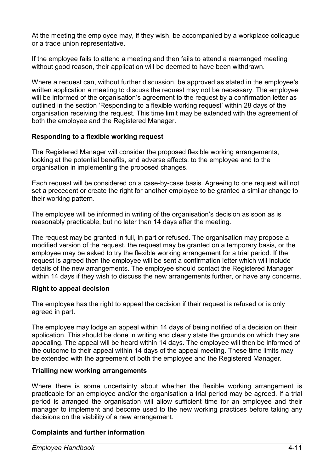At the meeting the employee may, if they wish, be accompanied by a workplace colleague or a trade union representative.

If the employee fails to attend a meeting and then fails to attend a rearranged meeting without good reason, their application will be deemed to have been withdrawn.

Where a request can, without further discussion, be approved as stated in the employee's written application a meeting to discuss the request may not be necessary. The employee will be informed of the organisation's agreement to the request by a confirmation letter as outlined in the section 'Responding to a flexible working request' within 28 days of the organisation receiving the request. This time limit may be extended with the agreement of both the employee and the Registered Manager.

#### **Responding to a flexible working request**

The Registered Manager will consider the proposed flexible working arrangements, looking at the potential benefits, and adverse affects, to the employee and to the organisation in implementing the proposed changes.

Each request will be considered on a case-by-case basis. Agreeing to one request will not set a precedent or create the right for another employee to be granted a similar change to their working pattern.

The employee will be informed in writing of the organisation's decision as soon as is reasonably practicable, but no later than 14 days after the meeting.

The request may be granted in full, in part or refused. The organisation may propose a modified version of the request, the request may be granted on a temporary basis, or the employee may be asked to try the flexible working arrangement for a trial period. If the request is agreed then the employee will be sent a confirmation letter which will include details of the new arrangements. The employee should contact the Registered Manager within 14 days if they wish to discuss the new arrangements further, or have any concerns.

#### **Right to appeal decision**

The employee has the right to appeal the decision if their request is refused or is only agreed in part.

The employee may lodge an appeal within 14 days of being notified of a decision on their application. This should be done in writing and clearly state the grounds on which they are appealing. The appeal will be heard within 14 days. The employee will then be informed of the outcome to their appeal within 14 days of the appeal meeting. These time limits may be extended with the agreement of both the employee and the Registered Manager.

#### **Trialling new working arrangements**

Where there is some uncertainty about whether the flexible working arrangement is practicable for an employee and/or the organisation a trial period may be agreed. If a trial period is arranged the organisation will allow sufficient time for an employee and their manager to implement and become used to the new working practices before taking any decisions on the viability of a new arrangement.

#### **Complaints and further information**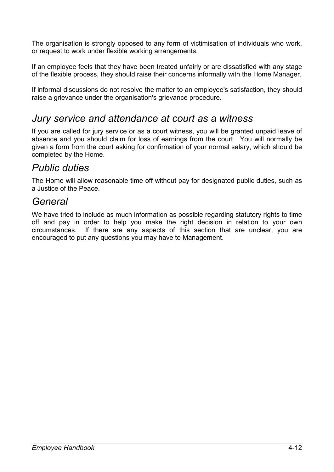The organisation is strongly opposed to any form of victimisation of individuals who work, or request to work under flexible working arrangements.

If an employee feels that they have been treated unfairly or are dissatisfied with any stage of the flexible process, they should raise their concerns informally with the Home Manager.

If informal discussions do not resolve the matter to an employee's satisfaction, they should raise a grievance under the organisation's grievance procedure.

# *Jury service and attendance at court as a witness*

If you are called for jury service or as a court witness, you will be granted unpaid leave of absence and you should claim for loss of earnings from the court. You will normally be given a form from the court asking for confirmation of your normal salary, which should be completed by the Home.

# *Public duties*

The Home will allow reasonable time off without pay for designated public duties, such as a Justice of the Peace.

# *General*

We have tried to include as much information as possible regarding statutory rights to time off and pay in order to help you make the right decision in relation to your own circumstances. If there are any aspects of this section that are unclear, you are encouraged to put any questions you may have to Management.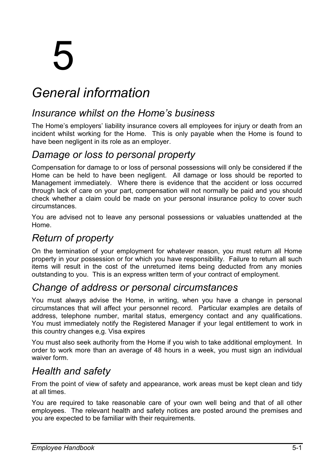# 5

# *General information*

# *Insurance whilst on the Home's business*

The Home's employers' liability insurance covers all employees for injury or death from an incident whilst working for the Home. This is only payable when the Home is found to have been negligent in its role as an employer.

# *Damage or loss to personal property*

Compensation for damage to or loss of personal possessions will only be considered if the Home can be held to have been negligent. All damage or loss should be reported to Management immediately. Where there is evidence that the accident or loss occurred through lack of care on your part, compensation will not normally be paid and you should check whether a claim could be made on your personal insurance policy to cover such circumstances.

You are advised not to leave any personal possessions or valuables unattended at the Home.

# *Return of property*

On the termination of your employment for whatever reason, you must return all Home property in your possession or for which you have responsibility. Failure to return all such items will result in the cost of the unreturned items being deducted from any monies outstanding to you. This is an express written term of your contract of employment.

# *Change of address or personal circumstances*

You must always advise the Home, in writing, when you have a change in personal circumstances that will affect your personnel record. Particular examples are details of address, telephone number, marital status, emergency contact and any qualifications. You must immediately notify the Registered Manager if your legal entitlement to work in this country changes e,g. Visa expires

You must also seek authority from the Home if you wish to take additional employment. In order to work more than an average of 48 hours in a week, you must sign an individual waiver form.

# *Health and safety*

From the point of view of safety and appearance, work areas must be kept clean and tidy at all times.

You are required to take reasonable care of your own well being and that of all other employees. The relevant health and safety notices are posted around the premises and you are expected to be familiar with their requirements.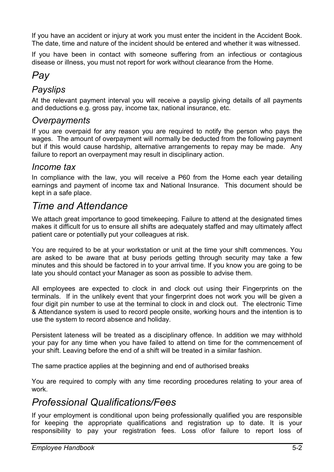If you have an accident or injury at work you must enter the incident in the Accident Book. The date, time and nature of the incident should be entered and whether it was witnessed.

If you have been in contact with someone suffering from an infectious or contagious disease or illness, you must not report for work without clearance from the Home.

# *Pay*

#### *Payslips*

At the relevant payment interval you will receive a payslip giving details of all payments and deductions e.g. gross pay, income tax, national insurance, etc.

#### *Overpayments*

If you are overpaid for any reason you are required to notify the person who pays the wages. The amount of overpayment will normally be deducted from the following payment but if this would cause hardship, alternative arrangements to repay may be made. Any failure to report an overpayment may result in disciplinary action.

#### *Income tax*

In compliance with the law, you will receive a P60 from the Home each year detailing earnings and payment of income tax and National Insurance. This document should be kept in a safe place.

# *Time and Attendance*

We attach great importance to good timekeeping. Failure to attend at the designated times makes it difficult for us to ensure all shifts are adequately staffed and may ultimately affect patient care or potentially put your colleagues at risk.

You are required to be at your workstation or unit at the time your shift commences. You are asked to be aware that at busy periods getting through security may take a few minutes and this should be factored in to your arrival time. If you know you are going to be late you should contact your Manager as soon as possible to advise them.

All employees are expected to clock in and clock out using their Fingerprints on the terminals. If in the unlikely event that your fingerprint does not work you will be given a four digit pin number to use at the terminal to clock in and clock out. The electronic Time & Attendance system is used to record people onsite, working hours and the intention is to use the system to record absence and holiday.

Persistent lateness will be treated as a disciplinary offence. In addition we may withhold your pay for any time when you have failed to attend on time for the commencement of your shift. Leaving before the end of a shift will be treated in a similar fashion.

The same practice applies at the beginning and end of authorised breaks

You are required to comply with any time recording procedures relating to your area of work.

# *Professional Qualifications/Fees*

If your employment is conditional upon being professionally qualified you are responsible for keeping the appropriate qualifications and registration up to date. It is your responsibility to pay your registration fees. Loss of/or failure to report loss of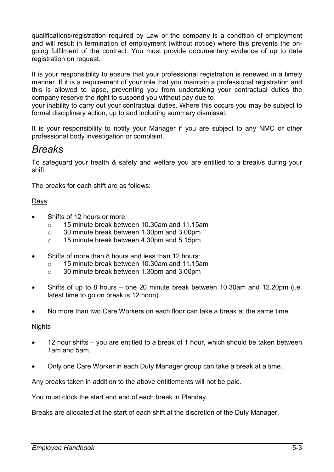qualifications/registration required by Law or the company is a condition of employment and will result in termination of employment (without notice) where this prevents the ongoing fulfilment of the contract. You must provide documentary evidence of up to date registration on request.

It is your responsibility to ensure that your professional registration is renewed in a timely manner. If it is a requirement of your role that you maintain a professional registration and this is allowed to lapse, preventing you from undertaking your contractual duties the company reserve the right to suspend you without pay due to

your inability to carry out your contractual duties. Where this occurs you may be subject to formal disciplinary action, up to and including summary dismissal.

It is your responsibility to notify your Manager if you are subject to any NMC or other professional body investigation or complaint.

# *Breaks*

To safeguard your health & safety and welfare you are entitled to a break/s during your shift.

The breaks for each shift are as follows:

#### Days

- Shifts of 12 hours or more:
	- o 15 minute break between 10.30am and 11.15am
	- o 30 minute break between 1.30pm and 3.00pm
	- o 15 minute break between 4.30pm and 5.15pm
- Shifts of more than 8 hours and less than 12 hours:
	- o 15 minute break between 10.30am and 11.15am
	- o 30 minute break between 1.30pm and 3.00pm
- . • Shifts of up to 8 hours – one 20 minute break between 10.30am and 12.20pm (i.e. latest time to go on break is 12 noon).
- No more than two Care Workers on each floor can take a break at the same time.

#### Nights

- 12 hour shifts you are entitled to a break of 1 hour, which should be taken between 1am and 5am.
- Only one Care Worker in each Duty Manager group can take a break at a time.

Any breaks taken in addition to the above entitlements will not be paid.

You must clock the start and end of each break in Planday.

Breaks are allocated at the start of each shift at the discretion of the Duty Manager.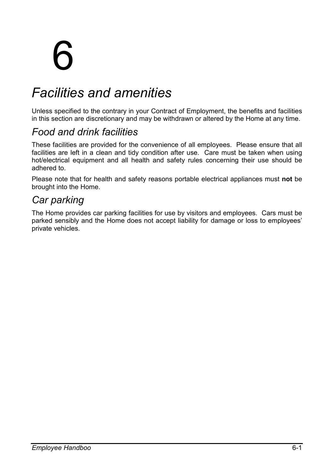# 6

# *Facilities and amenities*

Unless specified to the contrary in your Contract of Employment, the benefits and facilities in this section are discretionary and may be withdrawn or altered by the Home at any time.

# *Food and drink facilities*

These facilities are provided for the convenience of all employees. Please ensure that all facilities are left in a clean and tidy condition after use. Care must be taken when using hot/electrical equipment and all health and safety rules concerning their use should be adhered to.

Please note that for health and safety reasons portable electrical appliances must **not** be brought into the Home.

# *Car parking*

The Home provides car parking facilities for use by visitors and employees. Cars must be parked sensibly and the Home does not accept liability for damage or loss to employees' private vehicles.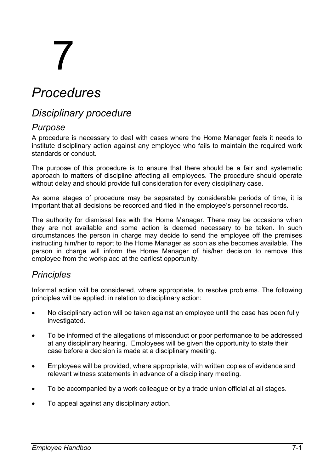# 7

# *Procedures*

# *Disciplinary procedure*

#### *Purpose*

A procedure is necessary to deal with cases where the Home Manager feels it needs to institute disciplinary action against any employee who fails to maintain the required work standards or conduct.

The purpose of this procedure is to ensure that there should be a fair and systematic approach to matters of discipline affecting all employees. The procedure should operate without delay and should provide full consideration for every disciplinary case.

As some stages of procedure may be separated by considerable periods of time, it is important that all decisions be recorded and filed in the employee's personnel records.

The authority for dismissal lies with the Home Manager. There may be occasions when they are not available and some action is deemed necessary to be taken. In such circumstances the person in charge may decide to send the employee off the premises instructing him/her to report to the Home Manager as soon as she becomes available. The person in charge will inform the Home Manager of his/her decision to remove this employee from the workplace at the earliest opportunity.

### *Principles*

Informal action will be considered, where appropriate, to resolve problems. The following principles will be applied: in relation to disciplinary action:

- No disciplinary action will be taken against an employee until the case has been fully investigated.
- To be informed of the allegations of misconduct or poor performance to be addressed at any disciplinary hearing. Employees will be given the opportunity to state their case before a decision is made at a disciplinary meeting.
- Employees will be provided, where appropriate, with written copies of evidence and relevant witness statements in advance of a disciplinary meeting.
- To be accompanied by a work colleague or by a trade union official at all stages.
- To appeal against any disciplinary action.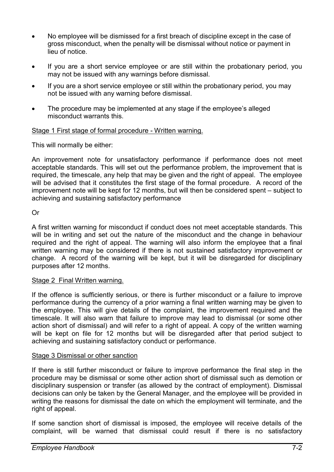- No employee will be dismissed for a first breach of discipline except in the case of gross misconduct, when the penalty will be dismissal without notice or payment in lieu of notice.
- If you are a short service employee or are still within the probationary period, you may not be issued with any warnings before dismissal.
- If you are a short service employee or still within the probationary period, you may not be issued with any warning before dismissal.
- The procedure may be implemented at any stage if the employee's alleged misconduct warrants this.

#### Stage 1 First stage of formal procedure - Written warning.

This will normally be either:

An improvement note for unsatisfactory performance if performance does not meet acceptable standards. This will set out the performance problem, the improvement that is required, the timescale, any help that may be given and the right of appeal. The employee will be advised that it constitutes the first stage of the formal procedure. A record of the improvement note will be kept for 12 months, but will then be considered spent – subject to achieving and sustaining satisfactory performance

#### Or

A first written warning for misconduct if conduct does not meet acceptable standards. This will be in writing and set out the nature of the misconduct and the change in behaviour required and the right of appeal. The warning will also inform the employee that a final written warning may be considered if there is not sustained satisfactory improvement or change. A record of the warning will be kept, but it will be disregarded for disciplinary purposes after 12 months.

#### Stage 2 Final Written warning.

If the offence is sufficiently serious, or there is further misconduct or a failure to improve performance during the currency of a prior warning a final written warning may be given to the employee. This will give details of the complaint, the improvement required and the timescale. It will also warn that failure to improve may lead to dismissal (or some other action short of dismissal) and will refer to a right of appeal. A copy of the written warning will be kept on file for 12 months but will be disregarded after that period subject to achieving and sustaining satisfactory conduct or performance.

#### Stage 3 Dismissal or other sanction

If there is still further misconduct or failure to improve performance the final step in the procedure may be dismissal or some other action short of dismissal such as demotion or disciplinary suspension or transfer (as allowed by the contract of employment). Dismissal decisions can only be taken by the General Manager, and the employee will be provided in writing the reasons for dismissal the date on which the employment will terminate, and the right of appeal.

If some sanction short of dismissal is imposed, the employee will receive details of the complaint, will be warned that dismissal could result if there is no satisfactory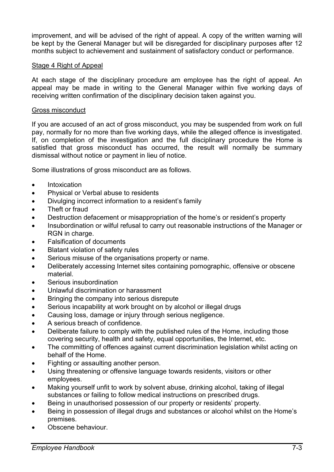improvement, and will be advised of the right of appeal. A copy of the written warning will be kept by the General Manager but will be disregarded for disciplinary purposes after 12 months subject to achievement and sustainment of satisfactory conduct or performance.

#### Stage 4 Right of Appeal

At each stage of the disciplinary procedure am employee has the right of appeal. An appeal may be made in writing to the General Manager within five working days of receiving written confirmation of the disciplinary decision taken against you.

#### Gross misconduct

If you are accused of an act of gross misconduct, you may be suspended from work on full pay, normally for no more than five working days, while the alleged offence is investigated. If, on completion of the investigation and the full disciplinary procedure the Home is satisfied that gross misconduct has occurred, the result will normally be summary dismissal without notice or payment in lieu of notice.

Some illustrations of gross misconduct are as follows.

- **Intoxication**
- Physical or Verbal abuse to residents
- Divulging incorrect information to a resident's family
- Theft or fraud
- Destruction defacement or misappropriation of the home's or resident's property
- Insubordination or wilful refusal to carry out reasonable instructions of the Manager or RGN in charge.
- Falsification of documents
- Blatant violation of safety rules
- Serious misuse of the organisations property or name.
- Deliberately accessing Internet sites containing pornographic, offensive or obscene material.
- Serious insubordination
- Unlawful discrimination or harassment
- Bringing the company into serious disrepute
- Serious incapability at work brought on by alcohol or illegal drugs
- Causing loss, damage or injury through serious negligence.
- A serious breach of confidence.
- Deliberate failure to comply with the published rules of the Home, including those covering security, health and safety, equal opportunities, the Internet, etc.
- The committing of offences against current discrimination legislation whilst acting on behalf of the Home.
- Fighting or assaulting another person.
- Using threatening or offensive language towards residents, visitors or other employees.
- Making yourself unfit to work by solvent abuse, drinking alcohol, taking of illegal substances or failing to follow medical instructions on prescribed drugs.
- Being in unauthorised possession of our property or residents' property.
- Being in possession of illegal drugs and substances or alcohol whilst on the Home's premises.
- Obscene behaviour.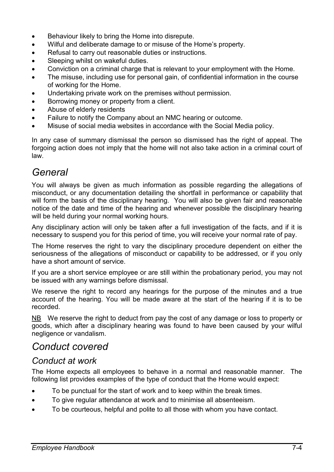- Behaviour likely to bring the Home into disrepute.
- Wilful and deliberate damage to or misuse of the Home's property.
- Refusal to carry out reasonable duties or instructions.
- Sleeping whilst on wakeful duties.
- Conviction on a criminal charge that is relevant to your employment with the Home.
- The misuse, including use for personal gain, of confidential information in the course of working for the Home.
- Undertaking private work on the premises without permission.
- Borrowing money or property from a client.
- Abuse of elderly residents
- Failure to notify the Company about an NMC hearing or outcome.
- Misuse of social media websites in accordance with the Social Media policy.

In any case of summary dismissal the person so dismissed has the right of appeal. The forgoing action does not imply that the home will not also take action in a criminal court of law.

# *General*

You will always be given as much information as possible regarding the allegations of misconduct, or any documentation detailing the shortfall in performance or capability that will form the basis of the disciplinary hearing. You will also be given fair and reasonable notice of the date and time of the hearing and whenever possible the disciplinary hearing will be held during your normal working hours.

Any disciplinary action will only be taken after a full investigation of the facts, and if it is necessary to suspend you for this period of time, you will receive your normal rate of pay.

The Home reserves the right to vary the disciplinary procedure dependent on either the seriousness of the allegations of misconduct or capability to be addressed, or if you only have a short amount of service.

If you are a short service employee or are still within the probationary period, you may not be issued with any warnings before dismissal.

We reserve the right to record any hearings for the purpose of the minutes and a true account of the hearing. You will be made aware at the start of the hearing if it is to be recorded.

NB We reserve the right to deduct from pay the cost of any damage or loss to property or goods, which after a disciplinary hearing was found to have been caused by your wilful negligence or vandalism.

# *Conduct covered*

### *Conduct at work*

The Home expects all employees to behave in a normal and reasonable manner. The following list provides examples of the type of conduct that the Home would expect:

- To be punctual for the start of work and to keep within the break times.
- To give regular attendance at work and to minimise all absenteeism.
- To be courteous, helpful and polite to all those with whom you have contact.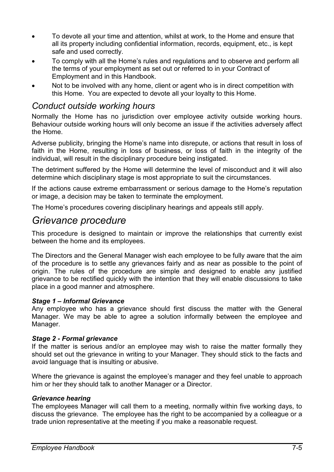- To devote all your time and attention, whilst at work, to the Home and ensure that all its property including confidential information, records, equipment, etc., is kept safe and used correctly.
- To comply with all the Home's rules and regulations and to observe and perform all the terms of your employment as set out or referred to in your Contract of Employment and in this Handbook.
- Not to be involved with any home, client or agent who is in direct competition with this Home. You are expected to devote all your loyalty to this Home.

#### *Conduct outside working hours*

Normally the Home has no jurisdiction over employee activity outside working hours. Behaviour outside working hours will only become an issue if the activities adversely affect the Home.

Adverse publicity, bringing the Home's name into disrepute, or actions that result in loss of faith in the Home, resulting in loss of business, or loss of faith in the integrity of the individual, will result in the disciplinary procedure being instigated.

The detriment suffered by the Home will determine the level of misconduct and it will also determine which disciplinary stage is most appropriate to suit the circumstances.

If the actions cause extreme embarrassment or serious damage to the Home's reputation or image, a decision may be taken to terminate the employment.

The Home's procedures covering disciplinary hearings and appeals still apply.

## *Grievance procedure*

This procedure is designed to maintain or improve the relationships that currently exist between the home and its employees.

The Directors and the General Manager wish each employee to be fully aware that the aim of the procedure is to settle any grievances fairly and as near as possible to the point of origin. The rules of the procedure are simple and designed to enable any justified grievance to be rectified quickly with the intention that they will enable discussions to take place in a good manner and atmosphere.

#### *Stage 1 – Informal Grievance*

Any employee who has a grievance should first discuss the matter with the General Manager. We may be able to agree a solution informally between the employee and Manager.

#### *Stage 2 - Formal grievance*

If the matter is serious and/or an employee may wish to raise the matter formally they should set out the grievance in writing to your Manager. They should stick to the facts and avoid language that is insulting or abusive.

Where the grievance is against the employee's manager and they feel unable to approach him or her they should talk to another Manager or a Director.

#### *Grievance hearing*

The employees Manager will call them to a meeting, normally within five working days, to discuss the grievance. The employee has the right to be accompanied by a colleague or a trade union representative at the meeting if you make a reasonable request.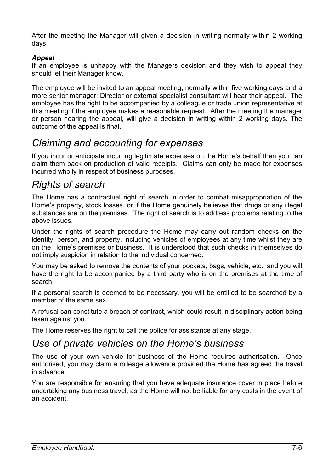After the meeting the Manager will given a decision in writing normally within 2 working days.

#### *Appeal*

If an employee is unhappy with the Managers decision and they wish to appeal they should let their Manager know.

The employee will be invited to an appeal meeting, normally within five working days and a more senior manager; Director or external specialist consultant will hear their appeal. The employee has the right to be accompanied by a colleague or trade union representative at this meeting if the employee makes a reasonable request. After the meeting the manager or person hearing the appeal, will give a decision in writing within 2 working days. The outcome of the appeal is final.

# *Claiming and accounting for expenses*

If you incur or anticipate incurring legitimate expenses on the Home's behalf then you can claim them back on production of valid receipts. Claims can only be made for expenses incurred wholly in respect of business purposes.

# *Rights of search*

The Home has a contractual right of search in order to combat misappropriation of the Home's property, stock losses, or if the Home genuinely believes that drugs or any illegal substances are on the premises. The right of search is to address problems relating to the above issues.

Under the rights of search procedure the Home may carry out random checks on the identity, person, and property, including vehicles of employees at any time whilst they are on the Home's premises or business. It is understood that such checks in themselves do not imply suspicion in relation to the individual concerned.

You may be asked to remove the contents of your pockets, bags, vehicle, etc., and you will have the right to be accompanied by a third party who is on the premises at the time of search.

If a personal search is deemed to be necessary, you will be entitled to be searched by a member of the same sex.

A refusal can constitute a breach of contract, which could result in disciplinary action being taken against you.

The Home reserves the right to call the police for assistance at any stage.

# *Use of private vehicles on the Home's business*

The use of your own vehicle for business of the Home requires authorisation. Once authorised, you may claim a mileage allowance provided the Home has agreed the travel in advance.

You are responsible for ensuring that you have adequate insurance cover in place before undertaking any business travel, as the Home will not be liable for any costs in the event of an accident.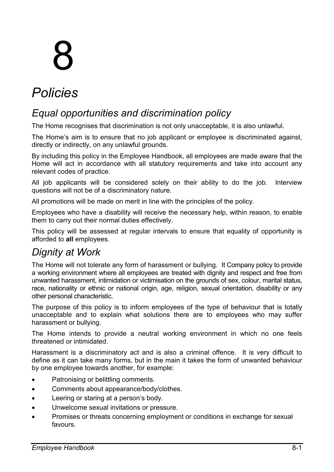# 8

# *Policies*

# *Equal opportunities and discrimination policy*

The Home recognises that discrimination is not only unacceptable, it is also unlawful.

The Home's aim is to ensure that no job applicant or employee is discriminated against, directly or indirectly, on any unlawful grounds.

By including this policy in the Employee Handbook, all employees are made aware that the Home will act in accordance with all statutory requirements and take into account any relevant codes of practice.

All job applicants will be considered solely on their ability to do the job. Interview questions will not be of a discriminatory nature.

All promotions will be made on merit in line with the principles of the policy.

Employees who have a disability will receive the necessary help, within reason, to enable them to carry out their normal duties effectively.

This policy will be assessed at regular intervals to ensure that equality of opportunity is afforded to **all** employees.

# *Dignity at Work*

The Home will not tolerate any form of harassment or bullying. It Company policy to provide a working environment where all employees are treated with dignity and respect and free from unwanted harassment, intimidation or victimisation on the grounds of sex, colour, marital status, race, nationality or ethnic or national origin, age, religion, sexual orientation, disability or any other personal characteristic.

The purpose of this policy is to inform employees of the type of behaviour that is totally unacceptable and to explain what solutions there are to employees who may suffer harassment or bullying.

The Home intends to provide a neutral working environment in which no one feels threatened or intimidated.

Harassment is a discriminatory act and is also a criminal offence. It is very difficult to define as it can take many forms, but in the main it takes the form of unwanted behaviour by one employee towards another, for example:

- Patronising or belittling comments.
- Comments about appearance/body/clothes.
- Leering or staring at a person's body.
- Unwelcome sexual invitations or pressure.
- Promises or threats concerning employment or conditions in exchange for sexual favours.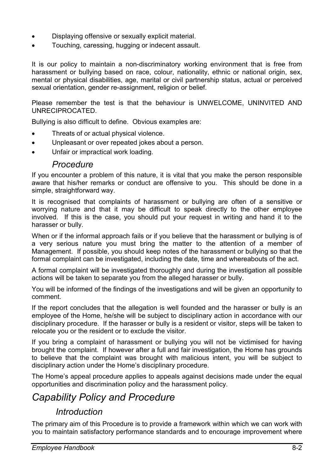- Displaying offensive or sexually explicit material.
- Touching, caressing, hugging or indecent assault.

It is our policy to maintain a non-discriminatory working environment that is free from harassment or bullying based on race, colour, nationality, ethnic or national origin, sex, mental or physical disabilities, age, marital or civil partnership status, actual or perceived sexual orientation, gender re-assignment, religion or belief.

Please remember the test is that the behaviour is UNWELCOME, UNINVITED AND UNRECIPROCATED.

Bullying is also difficult to define. Obvious examples are:

- Threats of or actual physical violence.
- Unpleasant or over repeated jokes about a person.
- Unfair or impractical work loading.

#### *Procedure*

If you encounter a problem of this nature, it is vital that you make the person responsible aware that his/her remarks or conduct are offensive to you. This should be done in a simple, straightforward way.

It is recognised that complaints of harassment or bullying are often of a sensitive or worrying nature and that it may be difficult to speak directly to the other employee involved. If this is the case, you should put your request in writing and hand it to the harasser or bully.

When or if the informal approach fails or if you believe that the harassment or bullying is of a very serious nature you must bring the matter to the attention of a member of Management. If possible, you should keep notes of the harassment or bullying so that the formal complaint can be investigated, including the date, time and whereabouts of the act.

A formal complaint will be investigated thoroughly and during the investigation all possible actions will be taken to separate you from the alleged harasser or bully.

You will be informed of the findings of the investigations and will be given an opportunity to comment.

If the report concludes that the allegation is well founded and the harasser or bully is an employee of the Home, he/she will be subject to disciplinary action in accordance with our disciplinary procedure. If the harasser or bully is a resident or visitor, steps will be taken to relocate you or the resident or to exclude the visitor.

If you bring a complaint of harassment or bullying you will not be victimised for having brought the complaint. If however after a full and fair investigation, the Home has grounds to believe that the complaint was brought with malicious intent, you will be subject to disciplinary action under the Home's disciplinary procedure.

The Home's appeal procedure applies to appeals against decisions made under the equal opportunities and discrimination policy and the harassment policy.

# *Capability Policy and Procedure*

### *Introduction*

The primary aim of this Procedure is to provide a framework within which we can work with you to maintain satisfactory performance standards and to encourage improvement where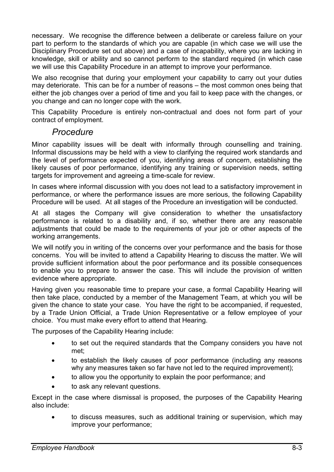necessary. We recognise the difference between a deliberate or careless failure on your part to perform to the standards of which you are capable (in which case we will use the Disciplinary Procedure set out above) and a case of incapability, where you are lacking in knowledge, skill or ability and so cannot perform to the standard required (in which case we will use this Capability Procedure in an attempt to improve your performance.

We also recognise that during your employment your capability to carry out your duties may deteriorate. This can be for a number of reasons – the most common ones being that either the job changes over a period of time and you fail to keep pace with the changes, or you change and can no longer cope with the work.

This Capability Procedure is entirely non-contractual and does not form part of your contract of employment.

#### *Procedure*

Minor capability issues will be dealt with informally through counselling and training. Informal discussions may be held with a view to clarifying the required work standards and the level of performance expected of you, identifying areas of concern, establishing the likely causes of poor performance, identifying any training or supervision needs, setting targets for improvement and agreeing a time-scale for review.

In cases where informal discussion with you does not lead to a satisfactory improvement in performance, or where the performance issues are more serious, the following Capability Procedure will be used. At all stages of the Procedure an investigation will be conducted.

At all stages the Company will give consideration to whether the unsatisfactory performance is related to a disability and, if so, whether there are any reasonable adjustments that could be made to the requirements of your job or other aspects of the working arrangements.

We will notify you in writing of the concerns over your performance and the basis for those concerns. You will be invited to attend a Capability Hearing to discuss the matter. We will provide sufficient information about the poor performance and its possible consequences to enable you to prepare to answer the case. This will include the provision of written evidence where appropriate.

Having given you reasonable time to prepare your case, a formal Capability Hearing will then take place, conducted by a member of the Management Team, at which you will be given the chance to state your case. You have the right to be accompanied, if requested, by a Trade Union Official, a Trade Union Representative or a fellow employee of your choice. You must make every effort to attend that Hearing.

The purposes of the Capability Hearing include:

- to set out the required standards that the Company considers you have not met;
- to establish the likely causes of poor performance (including any reasons why any measures taken so far have not led to the required improvement);
- to allow you the opportunity to explain the poor performance; and
- to ask any relevant questions.

Except in the case where dismissal is proposed, the purposes of the Capability Hearing also include:

• to discuss measures, such as additional training or supervision, which may improve your performance;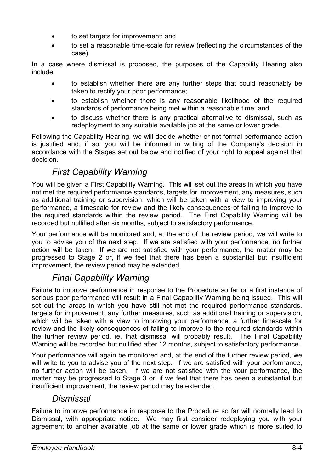- to set targets for improvement; and
- to set a reasonable time-scale for review (reflecting the circumstances of the case).

In a case where dismissal is proposed, the purposes of the Capability Hearing also include:

- to establish whether there are any further steps that could reasonably be taken to rectify your poor performance;
- to establish whether there is any reasonable likelihood of the required standards of performance being met within a reasonable time; and
- to discuss whether there is any practical alternative to dismissal, such as redeployment to any suitable available job at the same or lower grade.

Following the Capability Hearing, we will decide whether or not formal performance action is justified and, if so, you will be informed in writing of the Company's decision in accordance with the Stages set out below and notified of your right to appeal against that decision.

## *First Capability Warning*

You will be given a First Capability Warning. This will set out the areas in which you have not met the required performance standards, targets for improvement, any measures, such as additional training or supervision, which will be taken with a view to improving your performance, a timescale for review and the likely consequences of failing to improve to the required standards within the review period. The First Capability Warning will be recorded but nullified after six months, subject to satisfactory performance.

Your performance will be monitored and, at the end of the review period, we will write to you to advise you of the next step. If we are satisfied with your performance, no further action will be taken. If we are not satisfied with your performance, the matter may be progressed to Stage 2 or, if we feel that there has been a substantial but insufficient improvement, the review period may be extended.

# *Final Capability Warning*

Failure to improve performance in response to the Procedure so far or a first instance of serious poor performance will result in a Final Capability Warning being issued. This will set out the areas in which you have still not met the required performance standards, targets for improvement, any further measures, such as additional training or supervision, which will be taken with a view to improving your performance, a further timescale for review and the likely consequences of failing to improve to the required standards within the further review period, ie, that dismissal will probably result. The Final Capability Warning will be recorded but nullified after 12 months, subject to satisfactory performance.

Your performance will again be monitored and, at the end of the further review period, we will write to you to advise you of the next step. If we are satisfied with your performance, no further action will be taken. If we are not satisfied with the your performance, the matter may be progressed to Stage 3 or, if we feel that there has been a substantial but insufficient improvement, the review period may be extended.

### *Dismissal*

Failure to improve performance in response to the Procedure so far will normally lead to Dismissal, with appropriate notice. We may first consider redeploying you with your agreement to another available job at the same or lower grade which is more suited to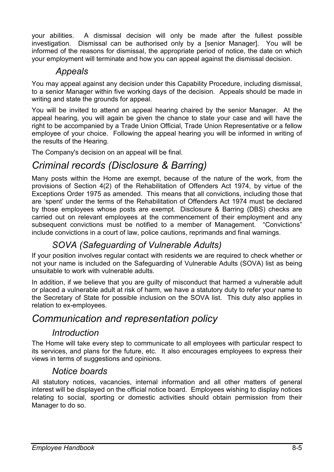your abilities. A dismissal decision will only be made after the fullest possible investigation. Dismissal can be authorised only by a [senior Manager]. You will be informed of the reasons for dismissal, the appropriate period of notice, the date on which your employment will terminate and how you can appeal against the dismissal decision.

## *Appeals*

You may appeal against any decision under this Capability Procedure, including dismissal, to a senior Manager within five working days of the decision. Appeals should be made in writing and state the grounds for appeal.

You will be invited to attend an appeal hearing chaired by the senior Manager. At the appeal hearing, you will again be given the chance to state your case and will have the right to be accompanied by a Trade Union Official, Trade Union Representative or a fellow employee of your choice. Following the appeal hearing you will be informed in writing of the results of the Hearing.

The Company's decision on an appeal will be final.

# *Criminal records (Disclosure & Barring)*

Many posts within the Home are exempt, because of the nature of the work, from the provisions of Section 4(2) of the Rehabilitation of Offenders Act 1974, by virtue of the Exceptions Order 1975 as amended. This means that all convictions, including those that are 'spent' under the terms of the Rehabilitation of Offenders Act 1974 must be declared by those employees whose posts are exempt. Disclosure & Barring (DBS) checks are carried out on relevant employees at the commencement of their employment and any subsequent convictions must be notified to a member of Management. "Convictions" include convictions in a court of law, police cautions, reprimands and final warnings.

## *SOVA (Safeguarding of Vulnerable Adults)*

If your position involves regular contact with residents we are required to check whether or not your name is included on the Safeguarding of Vulnerable Adults (SOVA) list as being unsuitable to work with vulnerable adults.

In addition, if we believe that you are guilty of misconduct that harmed a vulnerable adult or placed a vulnerable adult at risk of harm, we have a statutory duty to refer your name to the Secretary of State for possible inclusion on the SOVA list. This duty also applies in relation to ex-employees.

# *Communication and representation policy*

## *Introduction*

The Home will take every step to communicate to all employees with particular respect to its services, and plans for the future, etc. It also encourages employees to express their views in terms of suggestions and opinions.

### *Notice boards*

All statutory notices, vacancies, internal information and all other matters of general interest will be displayed on the official notice board. Employees wishing to display notices relating to social, sporting or domestic activities should obtain permission from their Manager to do so.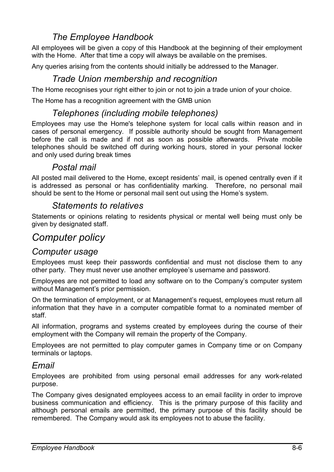## *The Employee Handbook*

All employees will be given a copy of this Handbook at the beginning of their employment with the Home. After that time a copy will always be available on the premises.

Any queries arising from the contents should initially be addressed to the Manager.

#### *Trade Union membership and recognition*

The Home recognises your right either to join or not to join a trade union of your choice.

The Home has a recognition agreement with the GMB union

#### *Telephones (including mobile telephones)*

Employees may use the Home's telephone system for local calls within reason and in cases of personal emergency. If possible authority should be sought from Management before the call is made and if not as soon as possible afterwards. Private mobile telephones should be switched off during working hours, stored in your personal locker and only used during break times

#### *Postal mail*

All posted mail delivered to the Home, except residents' mail, is opened centrally even if it is addressed as personal or has confidentiality marking. Therefore, no personal mail should be sent to the Home or personal mail sent out using the Home's system.

#### *Statements to relatives*

Statements or opinions relating to residents physical or mental well being must only be given by designated staff.

# *Computer policy*

#### *Computer usage*

Employees must keep their passwords confidential and must not disclose them to any other party. They must never use another employee's username and password.

Employees are not permitted to load any software on to the Company's computer system without Management's prior permission.

On the termination of employment, or at Management's request, employees must return all information that they have in a computer compatible format to a nominated member of staff.

All information, programs and systems created by employees during the course of their employment with the Company will remain the property of the Company.

Employees are not permitted to play computer games in Company time or on Company terminals or laptops.

#### *Email*

Employees are prohibited from using personal email addresses for any work-related purpose.

The Company gives designated employees access to an email facility in order to improve business communication and efficiency. This is the primary purpose of this facility and although personal emails are permitted, the primary purpose of this facility should be remembered. The Company would ask its employees not to abuse the facility.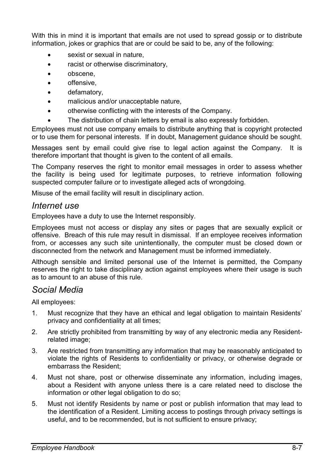With this in mind it is important that emails are not used to spread gossip or to distribute information, jokes or graphics that are or could be said to be, any of the following:

- sexist or sexual in nature.
- racist or otherwise discriminatory,
- obscene,
- offensive,
- defamatory,
- malicious and/or unacceptable nature,
- otherwise conflicting with the interests of the Company.
- The distribution of chain letters by email is also expressly forbidden.

Employees must not use company emails to distribute anything that is copyright protected or to use them for personal interests. If in doubt, Management guidance should be sought.

Messages sent by email could give rise to legal action against the Company. It is therefore important that thought is given to the content of all emails.

The Company reserves the right to monitor email messages in order to assess whether the facility is being used for legitimate purposes, to retrieve information following suspected computer failure or to investigate alleged acts of wrongdoing.

Misuse of the email facility will result in disciplinary action.

#### *Internet use*

Employees have a duty to use the Internet responsibly.

Employees must not access or display any sites or pages that are sexually explicit or offensive. Breach of this rule may result in dismissal. If an employee receives information from, or accesses any such site unintentionally, the computer must be closed down or disconnected from the network and Management must be informed immediately.

Although sensible and limited personal use of the Internet is permitted, the Company reserves the right to take disciplinary action against employees where their usage is such as to amount to an abuse of this rule.

#### *Social Media*

All employees:

- 1. Must recognize that they have an ethical and legal obligation to maintain Residents' privacy and confidentiality at all times;
- 2. Are strictly prohibited from transmitting by way of any electronic media any Residentrelated image;
- 3. Are restricted from transmitting any information that may be reasonably anticipated to violate the rights of Residents to confidentiality or privacy, or otherwise degrade or embarrass the Resident;
- 4. Must not share, post or otherwise disseminate any information, including images, about a Resident with anyone unless there is a care related need to disclose the information or other legal obligation to do so;
- 5. Must not identify Residents by name or post or publish information that may lead to the identification of a Resident. Limiting access to postings through privacy settings is useful, and to be recommended, but is not sufficient to ensure privacy;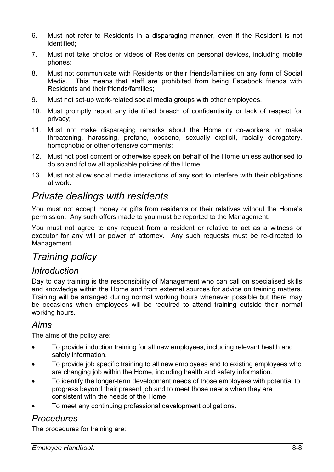- 6. Must not refer to Residents in a disparaging manner, even if the Resident is not identified;
- 7. Must not take photos or videos of Residents on personal devices, including mobile phones;
- 8. Must not communicate with Residents or their friends/families on any form of Social Media. This means that staff are prohibited from being Facebook friends with Residents and their friends/families;
- 9. Must not set-up work-related social media groups with other employees.
- 10. Must promptly report any identified breach of confidentiality or lack of respect for privacy;
- 11. Must not make disparaging remarks about the Home or co-workers, or make threatening, harassing, profane, obscene, sexually explicit, racially derogatory, homophobic or other offensive comments;
- 12. Must not post content or otherwise speak on behalf of the Home unless authorised to do so and follow all applicable policies of the Home.
- 13. Must not allow social media interactions of any sort to interfere with their obligations at work.

# *Private dealings with residents*

You must not accept money or gifts from residents or their relatives without the Home's permission. Any such offers made to you must be reported to the Management.

You must not agree to any request from a resident or relative to act as a witness or executor for any will or power of attorney. Any such requests must be re-directed to Management.

# *Training policy*

#### *Introduction*

Day to day training is the responsibility of Management who can call on specialised skills and knowledge within the Home and from external sources for advice on training matters. Training will be arranged during normal working hours whenever possible but there may be occasions when employees will be required to attend training outside their normal working hours.

#### *Aims*

The aims of the policy are:

- To provide induction training for all new employees, including relevant health and safety information.
- To provide job specific training to all new employees and to existing employees who are changing job within the Home, including health and safety information.
- To identify the longer-term development needs of those employees with potential to progress beyond their present job and to meet those needs when they are consistent with the needs of the Home.
- To meet any continuing professional development obligations.

### *Procedures*

The procedures for training are: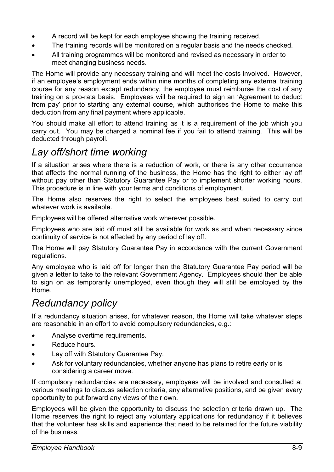- A record will be kept for each employee showing the training received.
- The training records will be monitored on a regular basis and the needs checked.
- All training programmes will be monitored and revised as necessary in order to meet changing business needs.

The Home will provide any necessary training and will meet the costs involved. However, if an employee's employment ends within nine months of completing any external training course for any reason except redundancy, the employee must reimburse the cost of any training on a pro-rata basis. Employees will be required to sign an 'Agreement to deduct from pay' prior to starting any external course, which authorises the Home to make this deduction from any final payment where applicable.

You should make all effort to attend training as it is a requirement of the job which you carry out. You may be charged a nominal fee if you fail to attend training. This will be deducted through payroll.

# *Lay off/short time working*

If a situation arises where there is a reduction of work, or there is any other occurrence that affects the normal running of the business, the Home has the right to either lay off without pay other than Statutory Guarantee Pay or to implement shorter working hours. This procedure is in line with your terms and conditions of employment.

The Home also reserves the right to select the employees best suited to carry out whatever work is available.

Employees will be offered alternative work wherever possible.

Employees who are laid off must still be available for work as and when necessary since continuity of service is not affected by any period of lay off.

The Home will pay Statutory Guarantee Pay in accordance with the current Government regulations.

Any employee who is laid off for longer than the Statutory Guarantee Pay period will be given a letter to take to the relevant Government Agency. Employees should then be able to sign on as temporarily unemployed, even though they will still be employed by the Home.

# *Redundancy policy*

If a redundancy situation arises, for whatever reason, the Home will take whatever steps are reasonable in an effort to avoid compulsory redundancies, e.g.:

- Analyse overtime requirements.
- Reduce hours.
- Lay off with Statutory Guarantee Pay.
- Ask for voluntary redundancies, whether anyone has plans to retire early or is considering a career move.

If compulsory redundancies are necessary, employees will be involved and consulted at various meetings to discuss selection criteria, any alternative positions, and be given every opportunity to put forward any views of their own.

Employees will be given the opportunity to discuss the selection criteria drawn up. The Home reserves the right to reject any voluntary applications for redundancy if it believes that the volunteer has skills and experience that need to be retained for the future viability of the business.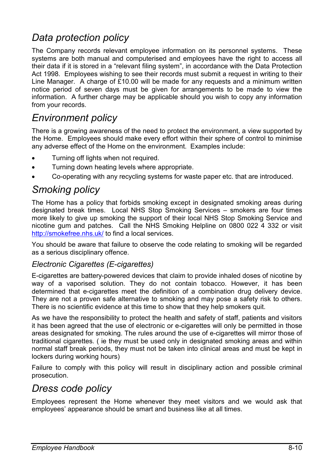# *Data protection policy*

The Company records relevant employee information on its personnel systems. These systems are both manual and computerised and employees have the right to access all their data if it is stored in a "relevant filing system", in accordance with the Data Protection Act 1998. Employees wishing to see their records must submit a request in writing to their Line Manager. A charge of £10.00 will be made for any requests and a minimum written notice period of seven days must be given for arrangements to be made to view the information. A further charge may be applicable should you wish to copy any information from your records.

# *Environment policy*

There is a growing awareness of the need to protect the environment, a view supported by the Home. Employees should make every effort within their sphere of control to minimise any adverse effect of the Home on the environment. Examples include:

- Turning off lights when not required.
- Turning down heating levels where appropriate.
- Co-operating with any recycling systems for waste paper etc. that are introduced.

# *Smoking policy*

The Home has a policy that forbids smoking except in designated smoking areas during designated break times. Local NHS Stop Smoking Services – smokers are four times more likely to give up smoking the support of their local NHS Stop Smoking Service and nicotine gum and patches. Call the NHS Smoking Helpline on 0800 022 4 332 or visit http://smokefree.nhs.uk/ to find a local services.

You should be aware that failure to observe the code relating to smoking will be regarded as a serious disciplinary offence.

#### *Electronic Cigarettes (E-cigarettes)*

E-cigarettes are battery-powered devices that claim to provide inhaled doses of nicotine by way of a vaporised solution. They do not contain tobacco. However, it has been determined that e-cigarettes meet the definition of a combination drug delivery device. They are not a proven safe alternative to smoking and may pose a safety risk to others. There is no scientific evidence at this time to show that they help smokers quit.

As we have the responsibility to protect the health and safety of staff, patients and visitors it has been agreed that the use of electronic or e-cigarettes will only be permitted in those areas designated for smoking. The rules around the use of e-cigarettes will mirror those of traditional cigarettes. ( ie they must be used only in designated smoking areas and within normal staff break periods, they must not be taken into clinical areas and must be kept in lockers during working hours)

Failure to comply with this policy will result in disciplinary action and possible criminal prosecution.

# *Dress code policy*

Employees represent the Home whenever they meet visitors and we would ask that employees' appearance should be smart and business like at all times.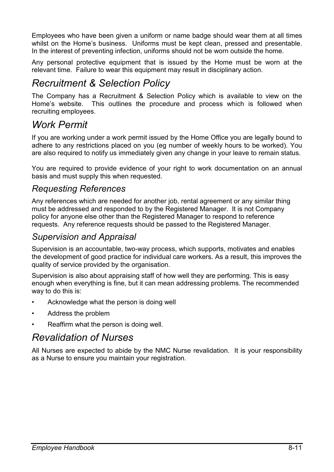Employees who have been given a uniform or name badge should wear them at all times whilst on the Home's business. Uniforms must be kept clean, pressed and presentable. In the interest of preventing infection, uniforms should not be worn outside the home.

Any personal protective equipment that is issued by the Home must be worn at the relevant time. Failure to wear this equipment may result in disciplinary action.

# *Recruitment & Selection Policy*

The Company has a Recruitment & Selection Policy which is available to view on the Home's website. This outlines the procedure and process which is followed when recruiting employees.

# *Work Permit*

If you are working under a work permit issued by the Home Office you are legally bound to adhere to any restrictions placed on you (eg number of weekly hours to be worked). You are also required to notify us immediately given any change in your leave to remain status.

You are required to provide evidence of your right to work documentation on an annual basis and must supply this when requested.

## *Requesting References*

Any references which are needed for another job, rental agreement or any similar thing must be addressed and responded to by the Registered Manager. It is not Company policy for anyone else other than the Registered Manager to respond to reference requests. Any reference requests should be passed to the Registered Manager.

### *Supervision and Appraisal*

Supervision is an accountable, two-way process, which supports, motivates and enables the development of good practice for individual care workers. As a result, this improves the quality of service provided by the organisation.

Supervision is also about appraising staff of how well they are performing. This is easy enough when everything is fine, but it can mean addressing problems. The recommended way to do this is:

- Acknowledge what the person is doing well
- Address the problem
- Reaffirm what the person is doing well.

# *Revalidation of Nurses*

All Nurses are expected to abide by the NMC Nurse revalidation. It is your responsibility as a Nurse to ensure you maintain your registration.